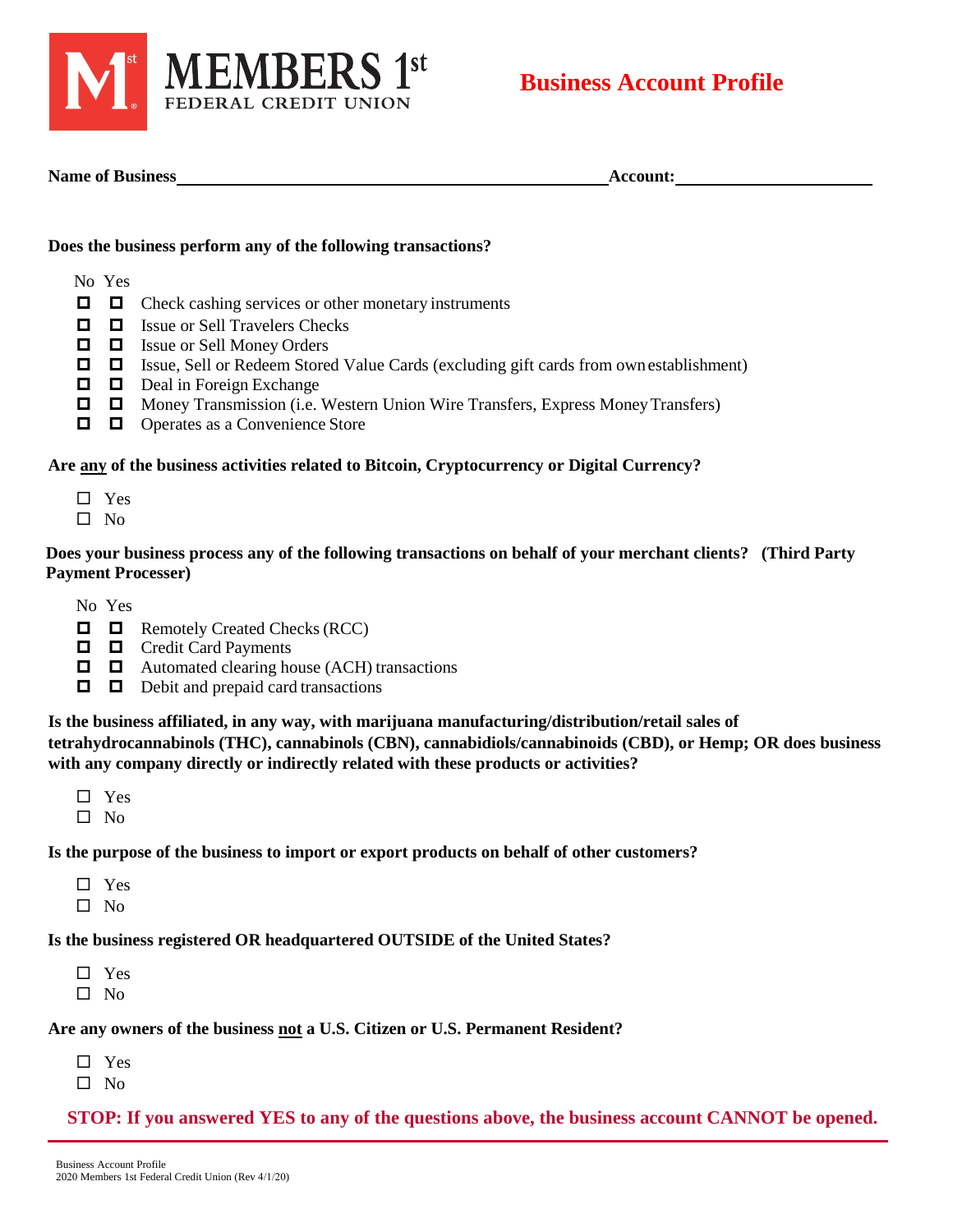

**Name of Business Account:**

#### **Does the business perform any of the following transactions?**

- No Yes
- $\Box$   $\Box$  Check cashing services or other monetary instruments
- $\Box$  Issue or Sell Travelers Checks
- Issue or Sell Money Orders
- $\Box$   $\Box$  Issue, Sell or Redeem Stored Value Cards (excluding gift cards from own establishment)
- $\Box$  Deal in Foreign Exchange
- $\Box$   $\Box$  Money Transmission (i.e. Western Union Wire Transfers, Express Money Transfers)
- $\Box$   $\Box$  Operates as a Convenience Store

# **Are any of the business activities related to Bitcoin, Cryptocurrency or Digital Currency?**

- □ Yes
- $\Box$  No

## **Does your business process any of the following transactions on behalf of your merchant clients? (Third Party Payment Processer)**

No Yes

- $\Box$  Remotely Created Checks (RCC)
- $\Box$   $\Box$  Credit Card Payments
- $\Box$  Automated clearing house (ACH) transactions
- $\Box$   $\Box$  Debit and prepaid card transactions

**Is the business affiliated, in any way, with marijuana manufacturing/distribution/retail sales of tetrahydrocannabinols (THC), cannabinols (CBN), cannabidiols/cannabinoids (CBD), or Hemp; OR does business with any company directly or indirectly related with these products or activities?** 

- □ Yes
- $\Box$  No

#### **Is the purpose of the business to import or export products on behalf of other customers?**

□ Yes  $\hfill \square$  No

## **Is the business registered OR headquartered OUTSIDE of the United States?**

□ Yes  $\square$  No

#### **Are any owners of the business not a U.S. Citizen or U.S. Permanent Resident?**

- □ Yes
- $\square$  No

## **STOP: If you answered YES to any of the questions above, the business account CANNOT be opened.**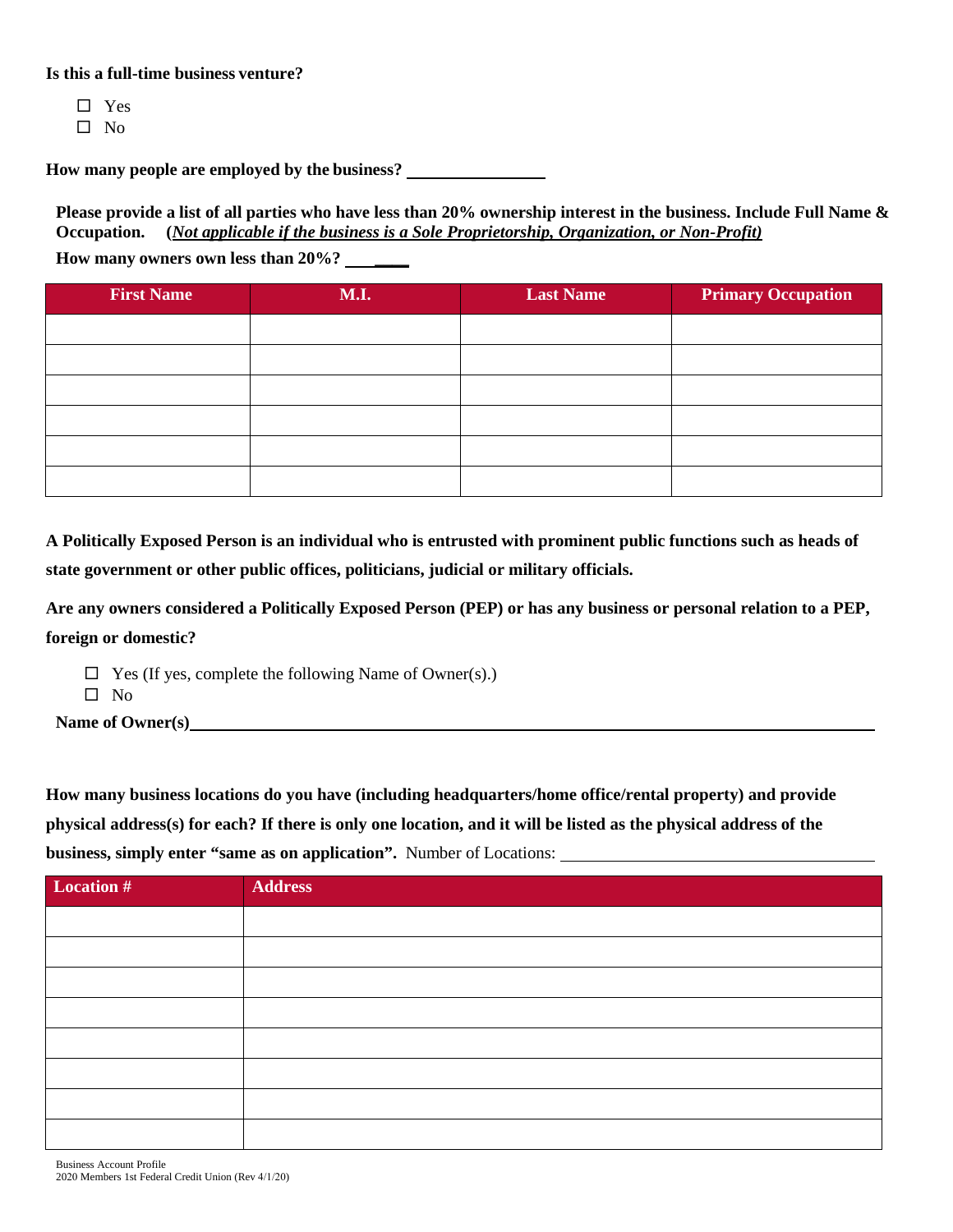**Is this a full-time business venture?** 

□ Yes

 $\square$  No

**How many people are employed by the business?**

**Please provide a list of all parties who have less than 20% ownership interest in the business. Include Full Name & Occupation. (***Not applicable if the business is a Sole Proprietorship, Organization, or Non-Profit)*

**How many owners own less than 20%? \_\_\_\_** 

| <b>First Name</b> | M.I. | <b>Last Name</b> | <b>Primary Occupation</b> |
|-------------------|------|------------------|---------------------------|
|                   |      |                  |                           |
|                   |      |                  |                           |
|                   |      |                  |                           |
|                   |      |                  |                           |
|                   |      |                  |                           |
|                   |      |                  |                           |

**A Politically Exposed Person is an individual who is entrusted with prominent public functions such as heads of state government or other public offices, politicians, judicial or military officials.**

**Are any owners considered a Politically Exposed Person (PEP) or has any business or personal relation to a PEP, foreign or domestic?** 

- $\Box$  Yes (If yes, complete the following Name of Owner(s).)
- $\square$  No

**Name of Owner(s)**

**How many business locations do you have (including headquarters/home office/rental property) and provide physical address(s) for each? If there is only one location, and it will be listed as the physical address of the business, simply enter "same as on application".** Number of Locations:

| Location # | <b>Address</b> |
|------------|----------------|
|            |                |
|            |                |
|            |                |
|            |                |
|            |                |
|            |                |
|            |                |
|            |                |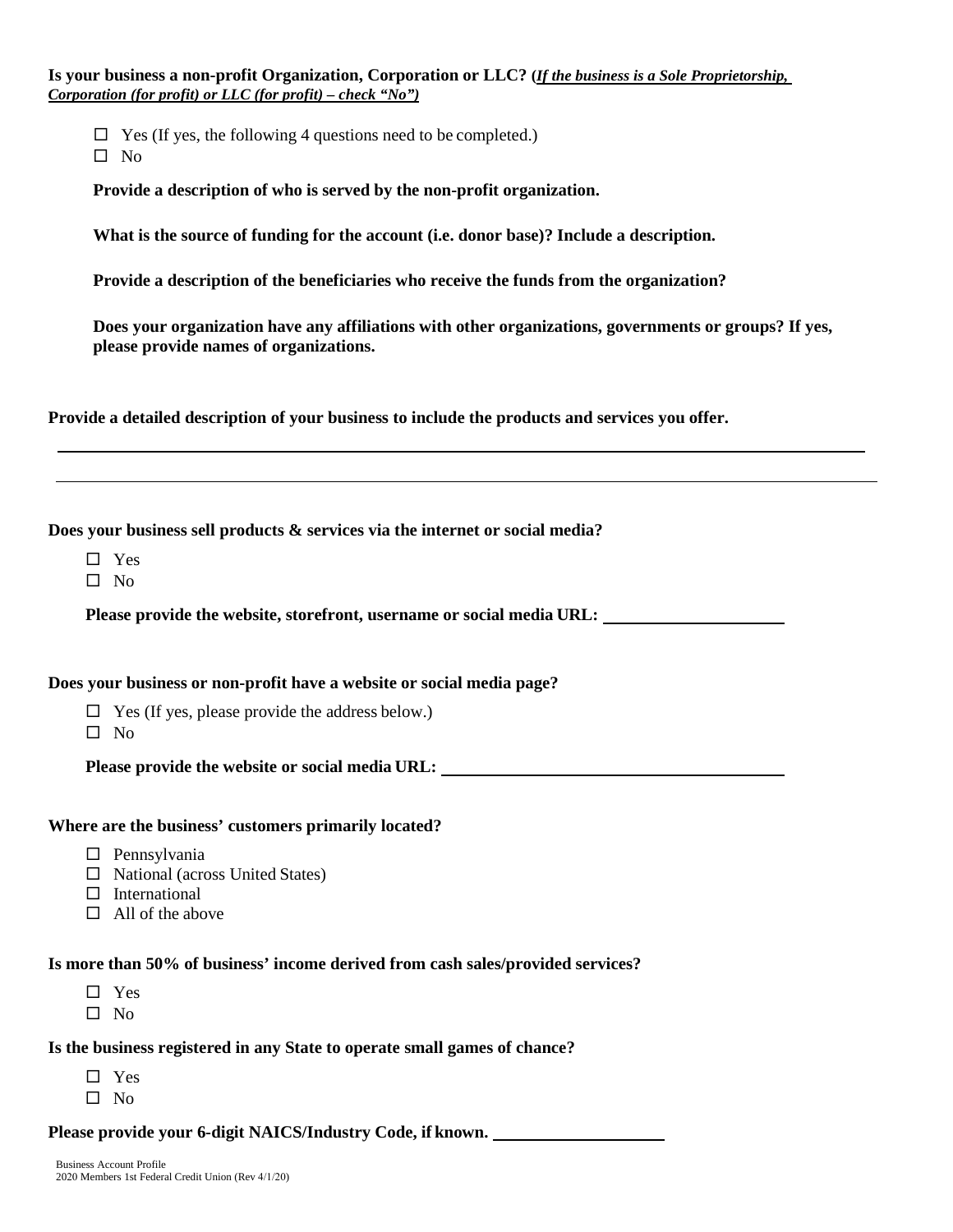**Is your business a non-profit Organization, Corporation or LLC? (***If the business is a Sole Proprietorship, Corporation (for profit) or LLC (for profit) – check "No")*

 $\Box$  Yes (If yes, the following 4 questions need to be completed.)

 $\square$  No

**Provide a description of who is served by the non-profit organization.**

**What is the source of funding for the account (i.e. donor base)? Include a description.** 

**Provide a description of the beneficiaries who receive the funds from the organization?** 

**Does your organization have any affiliations with other organizations, governments or groups? If yes, please provide names of organizations.** 

**Provide a detailed description of your business to include the products and services you offer.** 

**Does your business sell products & services via the internet or social media?**

- □ Yes
- $\square$  No

**Please provide the website, storefront, username or social media URL:**

**Does your business or non-profit have a website or social media page?**

 $\Box$  Yes (If yes, please provide the address below.)

 $\Box$  No

**Please provide the website or social media URL:**

#### **Where are the business' customers primarily located?**

- $\square$  Pennsylvania
- $\Box$  National (across United States)
- $\square$  International
- $\Box$  All of the above

## **Is more than 50% of business' income derived from cash sales/provided services?**

- □ Yes
- $\Box$  No

# **Is the business registered in any State to operate small games of chance?**

- □ Yes
- $\Box$  No

**Please provide your 6-digit NAICS/Industry Code, if known.**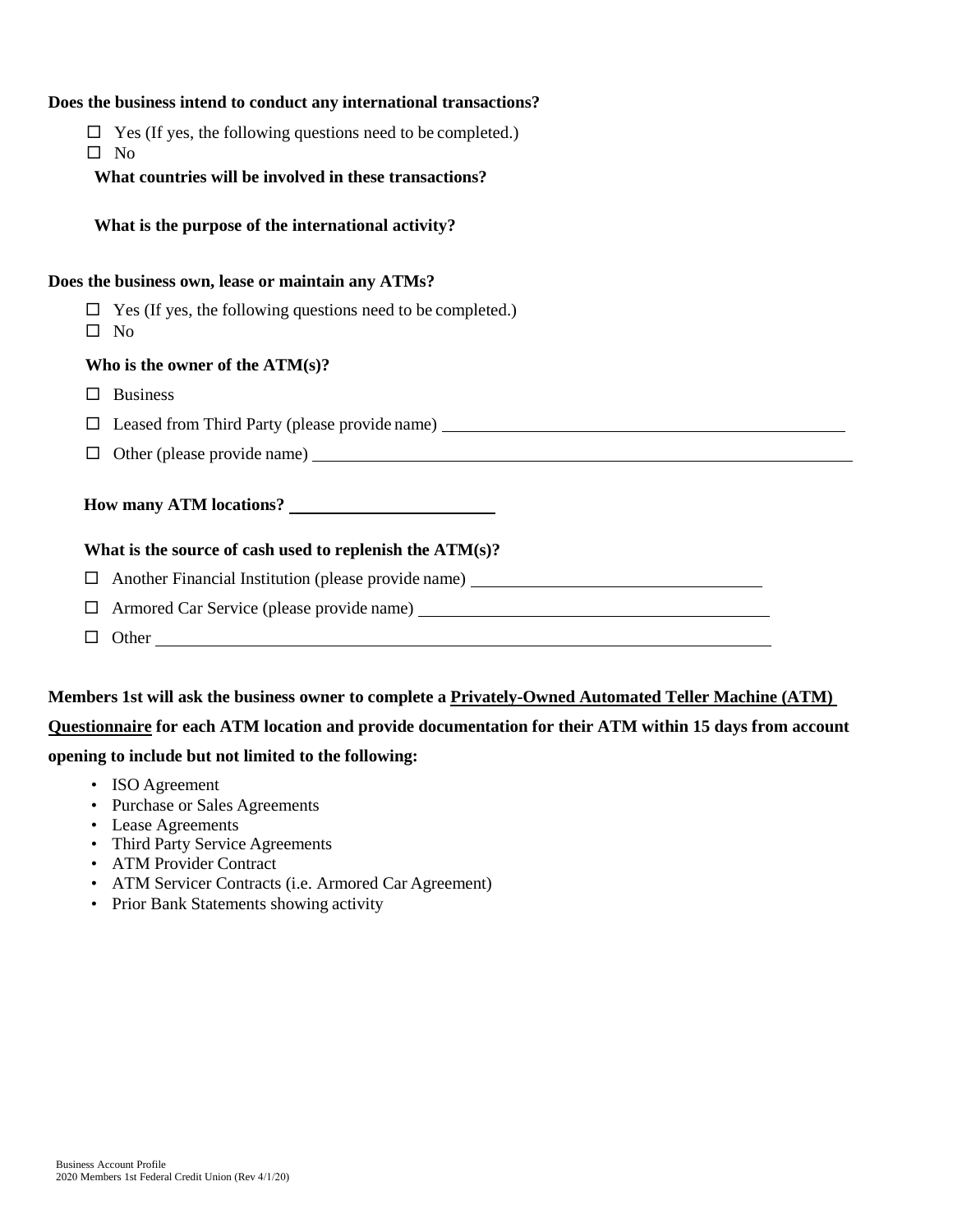#### **Does the business intend to conduct any international transactions?**

- $\Box$  Yes (If yes, the following questions need to be completed.)
- $\Box$  No

**What countries will be involved in these transactions?**

**What is the purpose of the international activity?** 

#### **Does the business own, lease or maintain any ATMs?**

 $\Box$  Yes (If yes, the following questions need to be completed.)

 $\square$  No

#### **Who is the owner of the ATM(s)?**

- $\square$  Business
- Leased from Third Party (please provide name)
- $\Box$  Other (please provide name)  $\Box$

#### **How many ATM locations?**

#### **What is the source of cash used to replenish the ATM(s)?**

Another Financial Institution (please provide name)

- Armored Car Service (please provide name)
- $\Box$  Other

## **Members 1st will ask the business owner to complete a Privately-Owned Automated Teller Machine (ATM)**

#### **Questionnaire for each ATM location and provide documentation for their ATM within 15 days from account**

#### **opening to include but not limited to the following:**

- ISO Agreement
- Purchase or Sales Agreements
- Lease Agreements
- Third Party Service Agreements
- ATM Provider Contract
- ATM Servicer Contracts (i.e. Armored Car Agreement)
- Prior Bank Statements showing activity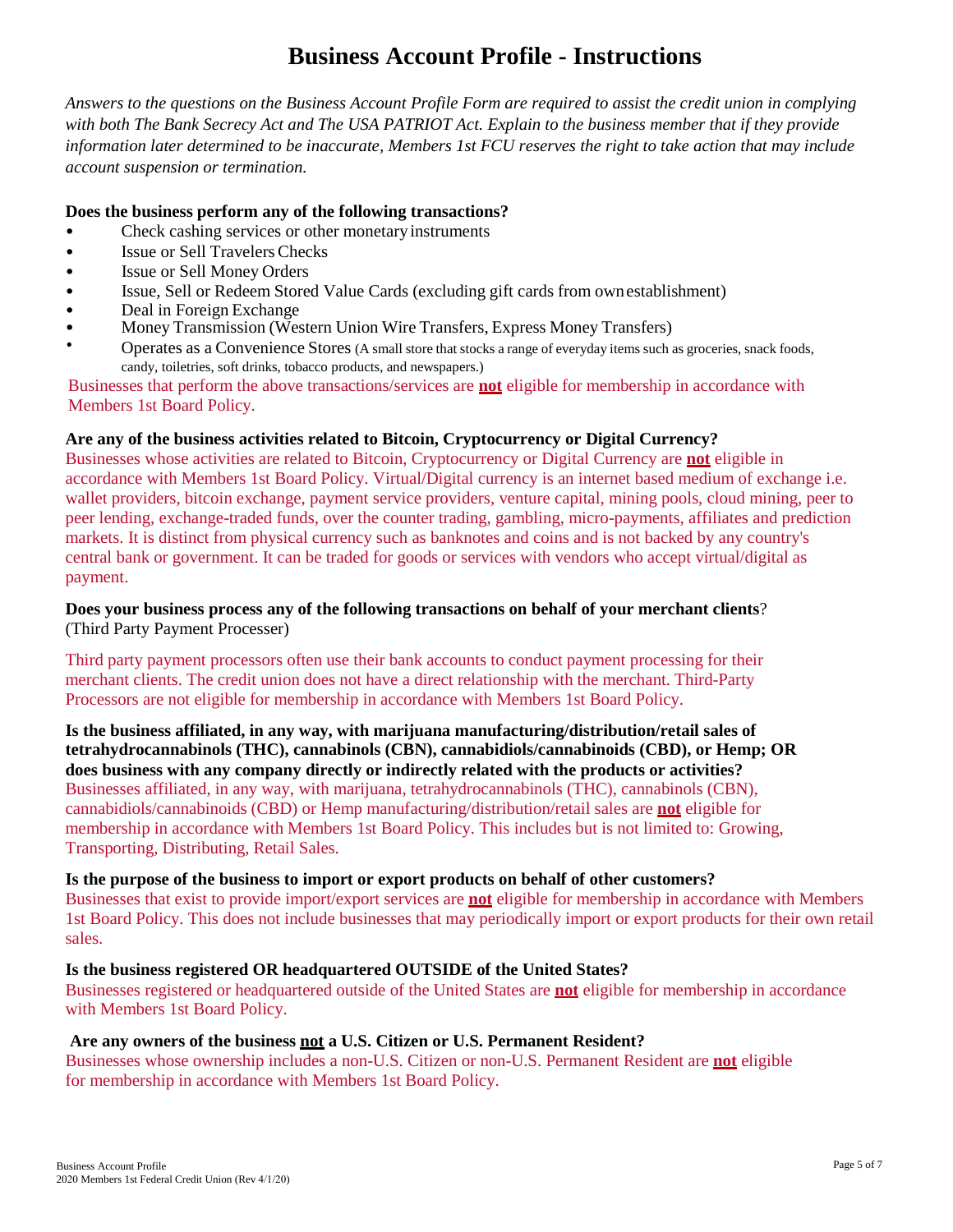# **Business Account Profile - Instructions**

*Answers to the questions on the Business Account Profile Form are required to assist the credit union in complying with both The Bank Secrecy Act and The USA PATRIOT Act. Explain to the business member that if they provide information later determined to be inaccurate, Members 1st FCU reserves the right to take action that may include account suspension or termination.* 

## **Does the business perform any of the following transactions?**

- Check cashing services or other monetary instruments
- Issue or Sell Travelers Checks
- Issue or Sell Money Orders
- Issue, Sell or Redeem Stored Value Cards (excluding gift cards from ownestablishment)
- Deal in Foreign Exchange
- Money Transmission (Western Union Wire Transfers, Express Money Transfers)
- Operates as a Convenience Stores (A small store that stocks a range of everyday items such as groceries, snack foods, candy, toiletries, soft drinks, tobacco products, and newspapers.)

Businesses that perform the above transactions/services are **not** eligible for membership in accordance with Members 1st Board Policy.

#### **Are any of the business activities related to Bitcoin, Cryptocurrency or Digital Currency?**

Businesses whose activities are related to Bitcoin, Cryptocurrency or Digital Currency are **not** eligible in accordance with Members 1st Board Policy. Virtual/Digital currency is an internet based medium of exchange i.e. wallet providers, bitcoin exchange, payment service providers, venture capital, mining pools, cloud mining, peer to peer lending, exchange-traded funds, over the counter trading, gambling, micro-payments, affiliates and prediction markets. It is distinct from physical currency such as banknotes and coins and is not backed by any country's central bank or government. It can be traded for goods or services with vendors who accept virtual/digital as payment.

#### **Does your business process any of the following transactions on behalf of your merchant clients**? (Third Party Payment Processer)

Third party payment processors often use their bank accounts to conduct payment processing for their merchant clients. The credit union does not have a direct relationship with the merchant. Third-Party Processors are not eligible for membership in accordance with Members 1st Board Policy.

**Is the business affiliated, in any way, with marijuana manufacturing/distribution/retail sales of tetrahydrocannabinols (THC), cannabinols (CBN), cannabidiols/cannabinoids (CBD), or Hemp; OR does business with any company directly or indirectly related with the products or activities?**  Businesses affiliated, in any way, with marijuana, tetrahydrocannabinols (THC), cannabinols (CBN), cannabidiols/cannabinoids (CBD) or Hemp manufacturing/distribution/retail sales are **not** eligible for membership in accordance with Members 1st Board Policy. This includes but is not limited to: Growing, Transporting, Distributing, Retail Sales.

#### **Is the purpose of the business to import or export products on behalf of other customers?**

Businesses that exist to provide import/export services are **not** eligible for membership in accordance with Members 1st Board Policy. This does not include businesses that may periodically import or export products for their own retail sales.

#### **Is the business registered OR headquartered OUTSIDE of the United States?**

Businesses registered or headquartered outside of the United States are **not** eligible for membership in accordance with Members 1st Board Policy.

#### **Are any owners of the business not a U.S. Citizen or U.S. Permanent Resident?**

Businesses whose ownership includes a non-U.S. Citizen or non-U.S. Permanent Resident are **not** eligible for membership in accordance with Members 1st Board Policy.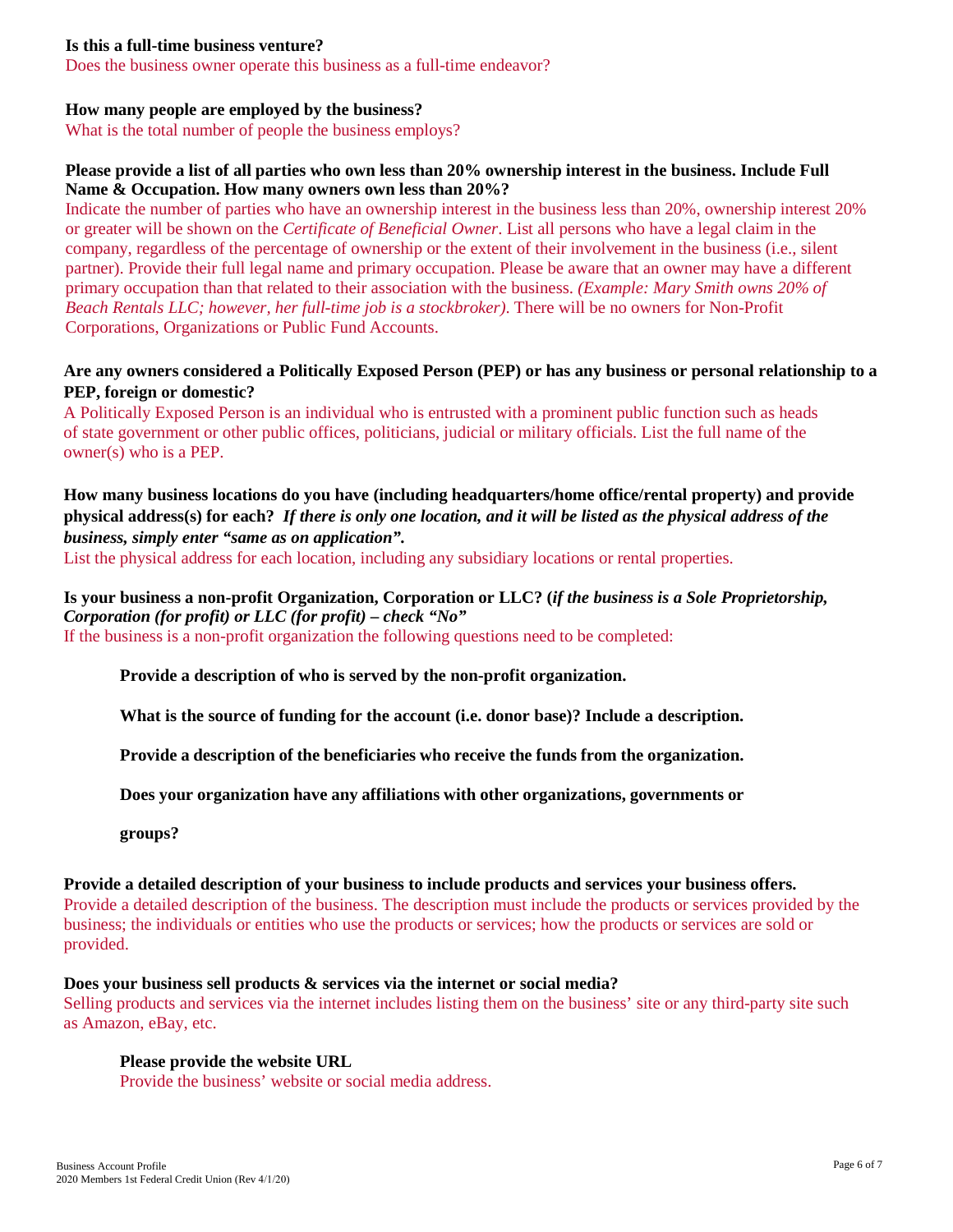#### **Is this a full-time business venture?**

Does the business owner operate this business as a full-time endeavor?

#### **How many people are employed by the business?**

What is the total number of people the business employs?

#### **Please provide a list of all parties who own less than 20% ownership interest in the business. Include Full Name & Occupation. How many owners own less than 20%?**

Indicate the number of parties who have an ownership interest in the business less than 20%, ownership interest 20% or greater will be shown on the *Certificate of Beneficial Owner*. List all persons who have a legal claim in the company, regardless of the percentage of ownership or the extent of their involvement in the business (i.e., silent partner). Provide their full legal name and primary occupation. Please be aware that an owner may have a different primary occupation than that related to their association with the business. *(Example: Mary Smith owns 20% of Beach Rentals LLC; however, her full-time job is a stockbroker)*. There will be no owners for Non-Profit Corporations, Organizations or Public Fund Accounts.

#### **Are any owners considered a Politically Exposed Person (PEP) or has any business or personal relationship to a PEP, foreign or domestic?**

A Politically Exposed Person is an individual who is entrusted with a prominent public function such as heads of state government or other public offices, politicians, judicial or military officials. List the full name of the owner(s) who is a PEP.

## **How many business locations do you have (including headquarters/home office/rental property) and provide physical address(s) for each?** *If there is only one location, and it will be listed as the physical address of the business, simply enter "same as on application".*

List the physical address for each location, including any subsidiary locations or rental properties.

# **Is your business a non-profit Organization, Corporation or LLC? (***if the business is a Sole Proprietorship,*

*Corporation (for profit) or LLC (for profit) – check "No"* 

If the business is a non-profit organization the following questions need to be completed:

#### **Provide a description of who is served by the non-profit organization.**

**What is the source of funding for the account (i.e. donor base)? Include a description.** 

**Provide a description of the beneficiaries who receive the funds from the organization.** 

**Does your organization have any affiliations with other organizations, governments or** 

**groups?**

#### **Provide a detailed description of your business to include products and services your business offers.**

Provide a detailed description of the business. The description must include the products or services provided by the business; the individuals or entities who use the products or services; how the products or services are sold or provided.

#### **Does your business sell products & services via the internet or social media?**

Selling products and services via the internet includes listing them on the business' site or any third-party site such as Amazon, eBay, etc.

#### **Please provide the website URL**

Provide the business' website or social media address.